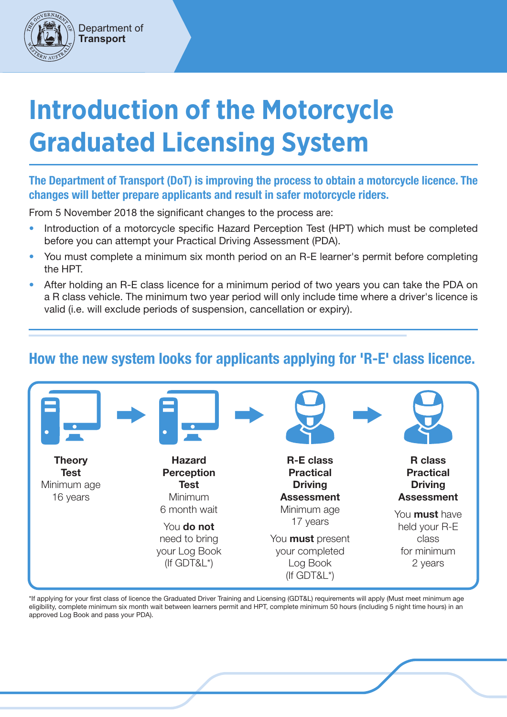# **Introduction of the Motorcycle Graduated Licensing System**

#### The Department of Transport (DoT) is improving the process to obtain a motorcycle licence. The changes will better prepare applicants and result in safer motorcycle riders.

From 5 November 2018 the significant changes to the process are:

Department of **Transport**

- Introduction of a motorcycle specific Hazard Perception Test (HPT) which must be completed before you can attempt your Practical Driving Assessment (PDA).
- You must complete a minimum six month period on an R-E learner's permit before completing the HPT.
- After holding an R-E class licence for a minimum period of two years you can take the PDA on a R class vehicle. The minimum two year period will only include time where a driver's licence is valid (i.e. will exclude periods of suspension, cancellation or expiry).

### How the new system looks for applicants applying for 'R-E' class licence.



\*If applying for your first class of licence the Graduated Driver Training and Licensing (GDT&L) requirements will apply (Must meet minimum age eligibility, complete minimum six month wait between learners permit and HPT, complete minimum 50 hours (including 5 night time hours) in an approved Log Book and pass your PDA).